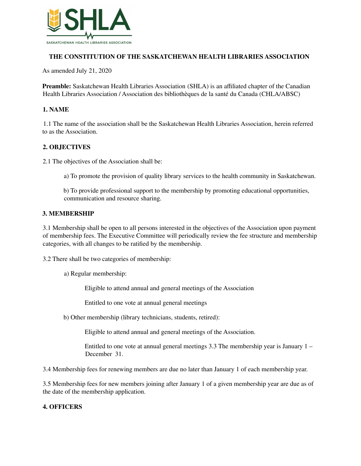

# **THE CONSTITUTION OF THE SASKATCHEWAN HEALTH LIBRARIES ASSOCIATION**

As amended July 21, 2020

**Preamble:** Saskatchewan Health Libraries Association (SHLA) is an affiliated chapter of the Canadian Health Libraries Association / Association des bibliothèques de la santé du Canada (CHLA/ABSC)

### **1. NAME**

1.1 The name of the association shall be the Saskatchewan Health Libraries Association, herein referred to as the Association.

# **2. OBJECTIVES**

2.1 The objectives of the Association shall be:

- a) To promote the provision of quality library services to the health community in Saskatchewan.
- b) To provide professional support to the membership by promoting educational opportunities, communication and resource sharing.

### **3. MEMBERSHIP**

3.1 Membership shall be open to all persons interested in the objectives of the Association upon payment of membership fees. The Executive Committee will periodically review the fee structure and membership categories, with all changes to be ratified by the membership.

3.2 There shall be two categories of membership:

a) Regular membership:

Eligible to attend annual and general meetings of the Association

Entitled to one vote at annual general meetings

b) Other membership (library technicians, students, retired):

Eligible to attend annual and general meetings of the Association.

Entitled to one vote at annual general meetings 3.3 The membership year is January 1 – December 31.

3.4 Membership fees for renewing members are due no later than January 1 of each membership year.

3.5 Membership fees for new members joining after January 1 of a given membership year are due as of the date of the membership application.

#### **4. OFFICERS**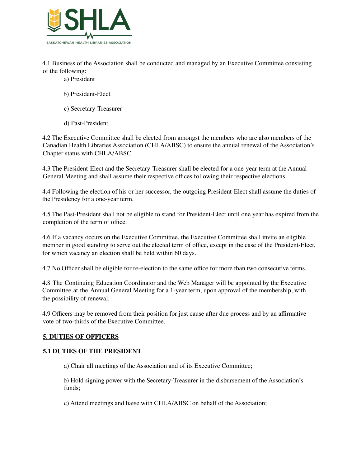

4.1 Business of the Association shall be conducted and managed by an Executive Committee consisting of the following:

- a) President
- b) President-Elect
- c) Secretary-Treasurer
- d) Past-President

4.2 The Executive Committee shall be elected from amongst the members who are also members of the Canadian Health Libraries Association (CHLA/ABSC) to ensure the annual renewal of the Association's Chapter status with CHLA/ABSC.

4.3 The President-Elect and the Secretary-Treasurer shall be elected for a one-year term at the Annual General Meeting and shall assume their respective offices following their respective elections.

4.4 Following the election of his or her successor, the outgoing President-Elect shall assume the duties of the Presidency for a one-year term.

4.5 The Past-President shall not be eligible to stand for President-Elect until one year has expired from the completion of the term of office.

4.6 If a vacancy occurs on the Executive Committee, the Executive Committee shall invite an eligible member in good standing to serve out the elected term of office, except in the case of the President-Elect, for which vacancy an election shall be held within 60 days.

4.7 No Officer shall be eligible for re-election to the same office for more than two consecutive terms.

4.8 The Continuing Education Coordinator and the Web Manager will be appointed by the Executive Committee at the Annual General Meeting for a 1-year term, upon approval of the membership, with the possibility of renewal.

4.9 Officers may be removed from their position for just cause after due process and by an affirmative vote of two-thirds of the Executive Committee.

#### **5. DUTIES OF OFFICERS**

#### **5.1 DUTIES OF THE PRESIDENT**

a) Chair all meetings of the Association and of its Executive Committee;

b) Hold signing power with the Secretary-Treasurer in the disbursement of the Association's funds;

c) Attend meetings and liaise with CHLA/ABSC on behalf of the Association;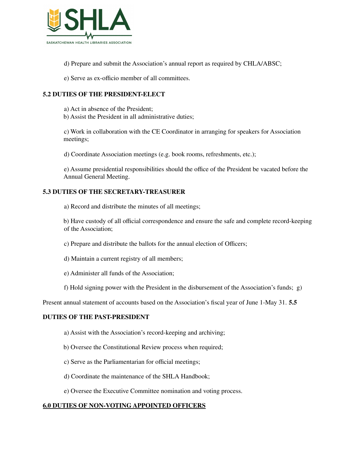

d) Prepare and submit the Association's annual report as required by CHLA/ABSC;

e) Serve as ex-officio member of all committees.

# **5.2 DUTIES OF THE PRESIDENT-ELECT**

a) Act in absence of the President;

b) Assist the President in all administrative duties;

c) Work in collaboration with the CE Coordinator in arranging for speakers for Association meetings;

d) Coordinate Association meetings (e.g. book rooms, refreshments, etc.);

e) Assume presidential responsibilities should the office of the President be vacated before the Annual General Meeting.

### **5.3 DUTIES OF THE SECRETARY-TREASURER**

a) Record and distribute the minutes of all meetings;

b) Have custody of all official correspondence and ensure the safe and complete record-keeping of the Association;

- c) Prepare and distribute the ballots for the annual election of Officers;
- d) Maintain a current registry of all members;
- e) Administer all funds of the Association;
- f) Hold signing power with the President in the disbursement of the Association's funds; g)

Present annual statement of accounts based on the Association's fiscal year of June 1-May 31. **5.5**

# **DUTIES OF THE PAST-PRESIDENT**

- a) Assist with the Association's record-keeping and archiving;
- b) Oversee the Constitutional Review process when required;
- c) Serve as the Parliamentarian for official meetings;
- d) Coordinate the maintenance of the SHLA Handbook;
- e) Oversee the Executive Committee nomination and voting process.

# **6.0 DUTIES OF NON-VOTING APPOINTED OFFICERS**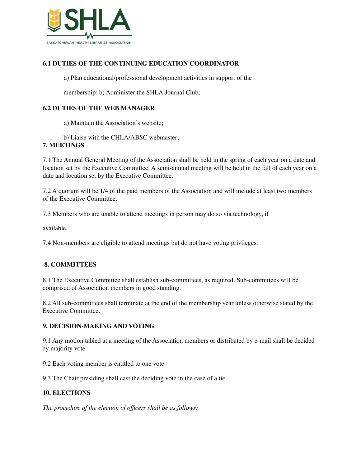

# **6.1 DUTIES OF THE CONTINUING EDUCATION COORDINATOR**

a) Plan educational/professional development activities in support of the

membership; b) Administer the SHLA Journal Club;

### **6.2 DUTIES OF THE WEB MANAGER**

a) Maintain the Association's website;

b) Liaise with the CHLA/ABSC webmaster;

### **7. MEETINGS**

7.1 The Annual General Meeting of the Association shall be held in the spring of each year on a date and location set by the Executive Committee. A semi-annual meeting will be held in the fall of each year on a date and location set by the Executive Committee.

7.2 A quorum will be 1/4 of the paid members of the Association and will include at least two members of the Executive Committee.

7.3 Members who are unable to attend meetings in person may do so via technology, if

available.

7.4 Non-members are eligible to attend meetings but do not have voting privileges.

# **8. COMMITTEES**

8.1 The Executive Committee shall establish sub-committees, as required. Sub-committees will be comprised of Association members in good standing.

8.2 All sub-committees shall terminate at the end of the membership year unless otherwise stated by the Executive Committee.

#### **9. DECISION-MAKING AND VOTING**

9.1 Any motion tabled at a meeting of the Association members or distributed by e-mail shall be decided by majority vote.

9.2 Each voting member is entitled to one vote.

9.3 The Chair presiding shall cast the deciding vote in the case of a tie.

#### **10. ELECTIONS**

*The procedure of the election of officers shall be as follows:*